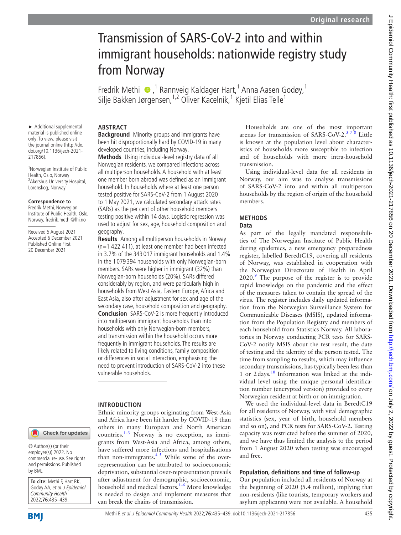# Transmission of SARS-CoV-2 into and within immigrant households: nationwide registry study from Norway

FredrikMethi  $\bullet$ , <sup>1</sup> Rannveig Kaldager Hart, <sup>1</sup> Anna Aasen Godøy, <sup>1</sup> Silje Bakken Jørgensen, 1,2 Oliver Kacelnik, 1 Kjetil Elias Telle 1

#### ► Additional supplemental material is published online only. To view, please visit the journal online [\(http://dx.](http://dx.doi.org/10.1136/jech-2021-217856) [doi.org/10.1136/jech-2021-](http://dx.doi.org/10.1136/jech-2021-217856) [217856](http://dx.doi.org/10.1136/jech-2021-217856)).

1 Norwegian Institute of Public Health, Oslo, Norway 2 Akershus University Hospital, Lorenskog, Norway

#### **Correspondence to**

Fredrik Methi, Norwegian Institute of Public Health, Oslo, Norway; fredrik.methi@fhi.no

Received 5 August 2021 Accepted 6 December 2021 Published Online First 20 December 2021

## **ABSTRACT**

**Background** Minority groups and immigrants have been hit disproportionally hard by COVID-19 in many developed countries, including Norway.

**Methods** Using individual-level registry data of all Norwegian residents, we compared infections across all multiperson households. A household with at least one member born abroad was defined as an immigrant household. In households where at least one person tested positive for SARS-CoV-2 from 1 August 2020 to 1 May 2021, we calculated secondary attack rates (SARs) as the per cent of other household members testing positive within 14 days. Logistic regression was used to adjust for sex, age, household composition and geography.

**Results** Among all multiperson households in Norway (n=1 422 411), at least one member had been infected in 3.7% of the 343 017 immigrant households and 1.4% in the 1 079 394 households with only Norwegian-born members. SARs were higher in immigrant (32%) than Norwegian-born households (20%). SARs differed considerably by region, and were particularly high in households from West Asia, Eastern Europe, Africa and East Asia, also after adjustment for sex and age of the secondary case, household composition and geography. **Conclusion** SARS-CoV-2 is more frequently introduced into multiperson immigrant households than into households with only Norwegian-born members, and transmission within the household occurs more frequently in immigrant households. The results are likely related to living conditions, family composition or differences in social interaction, emphasising the need to prevent introduction of SARS-CoV-2 into these vulnerable households.

## **INTRODUCTION**

Check for updates © Author(s) (or their employer(s)) 2022. No commercial re-use. See rights and permissions. Published

**To cite:** Methi F, Hart RK, Godøy AA, et al. J Epidemiol Community Health 2022;**76**:435–439.



by BMJ.

Ethnic minority groups originating from West-Asia and Africa have been hit harder by COVID-19 than others in many European and North American countries. $1-3$  Norway is no exception, as immigrants from West-Asia and Africa, among others, have suffered more infections and hospitalisations than non-immigrants.<sup>45</sup> While some of the overrepresentation can be attributed to socioeconomic deprivation, substantial over-representation prevails after adjustment for demographic, socioeconomic, household and medical factors.<sup>1–6</sup> More knowledge is needed to design and implement measures that can break the chains of transmission.

Households are one of the most important arenas for transmission of SARS-CoV-2. $378$  Little is known at the population level about characteristics of households more susceptible to infection and of households with more intra-household transmission.

Using individual-level data for all residents in Norway, our aim was to analyse transmissions of SARS-CoV-2 into and within all multiperson households by the region of origin of the household members.

# **METHODS**

# **Data**

As part of the legally mandated responsibilities of The Norwegian Institute of Public Health during epidemics, a new emergency preparedness register, labelled BeredtC19, covering all residents of Norway, was established in cooperation with the Norwegian Directorate of Health in April 2020.<sup>[9](#page-4-3)</sup> The purpose of the register is to provide rapid knowledge on the pandemic and the effect of the measures taken to contain the spread of the virus. The register includes daily updated information from the Norwegian Surveillance System for Communicable Diseases (MSIS), updated information from the Population Registry and members of each household from Statistics Norway. All laboratories in Norway conducting PCR tests for SARS-CoV-2 notify MSIS about the test result, the date of testing and the identity of the person tested. The time from sampling to results, which may influence secondary transmissions, has typically been less than 1 or 2days[.10](#page-4-4) Information was linked at the individual level using the unique personal identification number (encrypted version) provided to every Norwegian resident at birth or on immigration.

We used the individual-level data in BeredtC19 for all residents of Norway, with vital demographic statistics (sex, year of birth, household members and so on), and PCR tests for SARS-CoV-2. Testing capacity was restricted before the summer of 2020, and we have thus limited the analysis to the period from 1 August 2020 when testing was encouraged and free.

# **Population, definitions and time of follow-up**

Our population included all residents of Norway at the beginning of 2020 (5.4 million), implying that non-residents (like tourists, temporary workers and asylum applicants) were not available. A household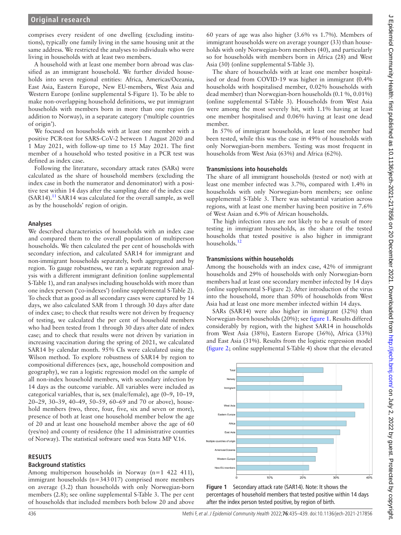comprises every resident of one dwelling (excluding institutions), typically one family living in the same housing unit at the same address. We restricted the analyses to individuals who were living in households with at least two members.

A household with at least one member born abroad was classified as an immigrant household. We further divided households into seven regional entities: Africa, Americas/Oceania, East Asia, Eastern Europe, New EU-members, West Asia and Western Europe ([online supplemental S-Figure 1](https://dx.doi.org/10.1136/jech-2021-217856)). To be able to make non-overlapping household definitions, we put immigrant households with members born in more than one region (in addition to Norway), in a separate category ('multiple countries of origin').

We focused on households with at least one member with a positive PCR-test for SARS-CoV-2 between 1 August 2020 and 1 May 2021, with follow-up time to 15 May 2021. The first member of a household who tested positive in a PCR test was defined as index case.

Following the literature, secondary attack rates (SARs) were calculated as the share of household members (excluding the index case in both the numerator and denominator) with a positive test within 14 days after the sampling date of the index case  $(SAR14).$ <sup>11</sup> SAR14 was calculated for the overall sample, as well as by the households' region of origin.

#### **Analyses**

We described characteristics of households with an index case and compared them to the overall population of multiperson households. We then calculated the per cent of households with secondary infection, and calculated SAR14 for immigrant and non-immigrant households separately, both aggregated and by region. To gauge robustness, we ran a separate regression analysis with a different immigrant definition [\(online supplemental](https://dx.doi.org/10.1136/jech-2021-217856)  [S-Table 1\)](https://dx.doi.org/10.1136/jech-2021-217856), and ran analyses including households with more than one index person ('co-indexes') [\(online supplemental S-Table 2](https://dx.doi.org/10.1136/jech-2021-217856)). To check that as good as all secondary cases were captured by 14 days, we also calculated SAR from 1 through 30 days after date of index case; to check that results were not driven by frequency of testing, we calculated the per cent of household members who had been tested from 1 through 30 days after date of index case; and to check that results were not driven by variation in increasing vaccination during the spring of 2021, we calculated SAR14 by calendar month. 95% CIs were calculated using the Wilson method. To explore robustness of SAR14 by region to compositional differences (sex, age, household composition and geography), we ran a logistic regression model on the sample of all non-index household members, with secondary infection by 14 days as the outcome variable. All variables were included as categorical variables, that is, sex (male/female), age (0–9, 10–19, 20–29, 30–39, 40–49, 50–59, 60–69 and 70 or above), household members (two, three, four, five, six and seven or more), presence of both at least one household member below the age of 20 and at least one household member above the age of 60 (yes/no) and county of residence (the 11 administrative counties of Norway). The statistical software used was Stata MP V.16.

#### **RESULTS**

#### **Background statistics**

Among multiperson households in Norway (n=1 422 411), immigrant households (n=343017) comprised more members on average (3.2) than households with only Norwegian-born members (2.8); see [online supplemental S-Table 3.](https://dx.doi.org/10.1136/jech-2021-217856) The per cent of households that included members both below 20 and above

60 years of age was also higher (3.6% vs 1.7%). Members of immigrant households were on average younger (33) than households with only Norwegian-born members (40), and particularly so for households with members born in Africa (28) and West Asia (30) ([online supplemental S-Table 3\)](https://dx.doi.org/10.1136/jech-2021-217856).

The share of households with at least one member hospitalised or dead from COVID-19 was higher in immigrant (0.4% households with hospitalised member, 0.02% households with dead member) than Norwegian-born households (0.1 %, 0.01%) ([online supplemental S-Table 3\)](https://dx.doi.org/10.1136/jech-2021-217856). Households from West Asia were among the most severely hit, with 1.1% having at least one member hospitalised and 0.06% having at least one dead member.

In 57% of immigrant households, at least one member had been tested, while this was the case in 49% of households with only Norwegian-born members. Testing was most frequent in households from West Asia (63%) and Africa (62%).

## **Transmissions into households**

The share of all immigrant households (tested or not) with at least one member infected was 3.7%, compared with 1.4% in households with only Norwegian-born members; see [online](https://dx.doi.org/10.1136/jech-2021-217856) [supplemental S-Table 3](https://dx.doi.org/10.1136/jech-2021-217856). There was substantial variation across regions, with at least one member having been positive in 7.6% of West Asian and 6.9% of African households.

The high infection rates are not likely to be a result of more testing in immigrant households, as the share of the tested households that tested positive is also higher in immigrant households.<sup>[12](#page-4-6)</sup>

## **Transmissions within households**

Among the households with an index case, 42% of immigrant households and 29% of households with only Norwegian-born members had at least one secondary member infected by 14 days ([online supplemental S-Figure 2](https://dx.doi.org/10.1136/jech-2021-217856)). After introduction of the virus into the household, more than 50% of households from West Asia had at least one more member infected within 14 days.

SARs (SAR14) were also higher in immigrant (32%) than Norwegian-born households (20%); see [figure](#page-1-0) 1. Results differed considerably by region, with the highest SAR14 in households from West Asia (38%), Eastern Europe (36%), Africa (33%) and East Asia (31%). Results from the logistic regression model ([figure](#page-2-0) 2; [online supplemental S-Table 4\)](https://dx.doi.org/10.1136/jech-2021-217856) show that the elevated



<span id="page-1-0"></span>**Figure 1** Secondary attack rate (SAR14). Note: It shows the percentages of household members that tested positive within 14 days after the index person tested positive, by region of birth.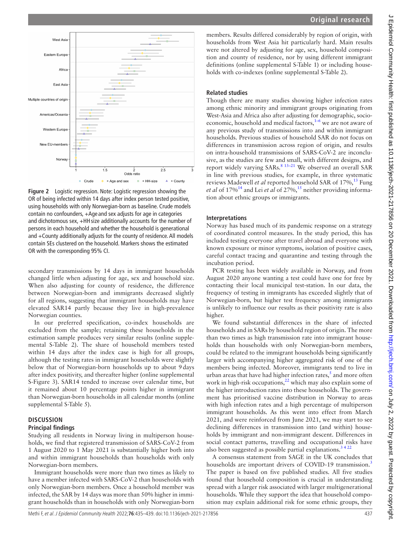

<span id="page-2-0"></span>**Figure 2** Logistic regression. Note: Logistic regression showing the OR of being infected within 14 days after index person tested positive, using households with only Norwegian-born as baseline. Crude models contain no confounders, +Age and sex adjusts for age in categories and dichotomous sex, +HHsize additionally accounts for the number of persons in each household and whether the household is generational and +County additionally adjusts for the county of residence. All models contain SEs clustered on the household. Markers shows the estimated OR with the corresponding 95% CI.

secondary transmissions by 14 days in immigrant households changed little when adjusting for age, sex and household size. When also adjusting for county of residence, the difference between Norwegian-born and immigrants decreased slightly for all regions, suggesting that immigrant households may have elevated SAR14 partly because they live in high-prevalence Norwegian counties.

In our preferred specification, co-index households are excluded from the sample; retaining these households in the estimation sample produces very similar results [\(online supple](https://dx.doi.org/10.1136/jech-2021-217856)[mental S-Table 2\)](https://dx.doi.org/10.1136/jech-2021-217856). The share of household members tested within 14 days after the index case is high for all groups, although the testing rates in immigrant households were slightly below that of Norwegian-born households up to about 9days after index positivity, and thereafter higher [\(online supplemental](https://dx.doi.org/10.1136/jech-2021-217856)  [S-Figure 3](https://dx.doi.org/10.1136/jech-2021-217856)). SAR14 tended to increase over calendar time, but it remained about 10 percentage points higher in immigrant than Norwegian-born households in all calendar months [\(online](https://dx.doi.org/10.1136/jech-2021-217856)  [supplemental S-Table 5](https://dx.doi.org/10.1136/jech-2021-217856)).

## **DISCUSSION Principal findings**

Studying all residents in Norway living in multiperson households, we find that registered transmission of SARS-CoV-2 from 1 August 2020 to 1 May 2021 is substantially higher both into and within immigrant households than households with only Norwegian-born members.

Immigrant households were more than two times as likely to have a member infected with SARS-CoV-2 than households with only Norwegian-born members. Once a household member was infected, the SAR by 14 days was more than 50% higher in immigrant households than in households with only Norwegian-born

members. Results differed considerably by region of origin, with households from West Asia hit particularly hard. Main results were not altered by adjusting for age, sex, household composition and county of residence, nor by using different immigrant definitions ([online supplemental S-Table 1\)](https://dx.doi.org/10.1136/jech-2021-217856) or including households with co-indexes [\(online supplemental S-Table 2](https://dx.doi.org/10.1136/jech-2021-217856)).

## **Related studies**

Though there are many studies showing higher infection rates among ethnic minority and immigrant groups originating from West-Asia and Africa also after adjusting for demographic, socioeconomic, household and medical factors, $1-6$  we are not aware of any previous study of transmissions into and within immigrant households. Previous studies of household SAR do not focus on differences in transmission across region of origin, and results on intra-household transmissions of SARS-CoV-2 are inconclusive, as the studies are few and small, with different designs, and report widely varying SARs.<sup>8</sup> <sup>13–21</sup> We observed an overall SAR in line with previous studies, for example, in three systematic reviews Madewell *et al* reported household SAR of 17%,<sup>13</sup> Fung *et al* of 17%<sup>14</sup> and Lei *et al* of 27%,<sup>[15](#page-4-10)</sup> neither providing information about ethnic groups or immigrants.

## **Interpretations**

Norway has based much of its pandemic response on a strategy of coordinated control measures. In the study period, this has included testing everyone after travel abroad and everyone with known exposure or minor symptoms, isolation of positive cases, careful contact tracing and quarantine and testing through the incubation period.

PCR testing has been widely available in Norway, and from August 2020 anyone wanting a test could have one for free by contacting their local municipal test-station. In our data, the frequency of testing in immigrants has exceeded slightly that of Norwegian-born, but higher test frequency among immigrants is unlikely to influence our results as their positivity rate is also higher.

We found substantial differences in the share of infected households and in SARs by household region of origin. The more than two times as high transmission rate into immigrant households than households with only Norwegian-born members, could be related to the immigrant households being significantly larger with accompanying higher aggregated risk of one of the members being infected. Moreover, immigrants tend to live in urban areas that have had higher infection rates,<sup>5</sup> and more often work in high-risk occupations, $^{22}$  which may also explain some of the higher introduction rates into these households. The government has prioritised vaccine distribution in Norway to areas with high infection rates and a high percentage of multiperson immigrant households. As this went into effect from March 2021, and were reinforced from June 2021, we may start to see declining differences in transmission into (and within) households by immigrant and non-immigrant descent. Differences in social contact patterns, travelling and occupational risks have also been suggested as possible partial explanations.<sup>3422</sup>

A consensus statement from SAGE in the UK concludes that households are important drivers of COVID-19 transmission.<sup>[3](#page-4-2)</sup> The paper is based on five published studies. All five studies found that household composition is crucial in understanding spread with a larger risk associated with larger multigenerational households. While they support the idea that household composition may explain additional risk for some ethnic groups, they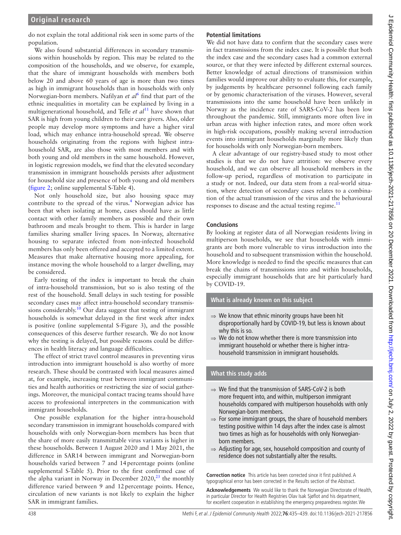do not explain the total additional risk seen in some parts of the population.

We also found substantial differences in secondary transmissions within households by region. This may be related to the composition of the households, and we observe, for example, that the share of immigrant households with members both below 20 and above 60 years of age is more than two times as high in immigrant households than in households with only Norwegian-born members. Nafilyan *et al*[6](#page-4-13) find that part of the ethnic inequalities in mortality can be explained by living in a multigenerational household, and Telle *et al*<sup>[11](#page-4-5)</sup> have shown that SAR is high from young children to their care givers. Also, older people may develop more symptoms and have a higher viral load, which may enhance intra-household spread. We observe households originating from the regions with highest intrahousehold SAR, are also those with most members and with both young and old members in the same household. However, in logistic regression models, we find that the elevated secondary transmission in immigrant households persists after adjustment for household size and presence of both young and old members ([figure](#page-2-0) 2; [online supplemental S-Table 4](https://dx.doi.org/10.1136/jech-2021-217856)).

Not only household size, but also housing space may contribute to the spread of the virus. $4$  Norwegian advice has been that when isolating at home, cases should have as little contact with other family members as possible and their own bathroom and meals brought to them. This is harder in large families sharing smaller living spaces. In Norway, alternative housing to separate infected from non-infected household members has only been offered and accepted to a limited extent. Measures that make alternative housing more appealing, for instance moving the whole household to a larger dwelling, may be considered.

Early testing of the index is important to break the chain of intra-household transmission, but so is also testing of the rest of the household. Small delays in such testing for possible secondary cases may affect intra-household secondary transmis-sions considerably.<sup>[10](#page-4-4)</sup> Our data suggest that testing of immigrant households is somewhat delayed in the first week after index is positive ([online supplemental S-Figure 3\)](https://dx.doi.org/10.1136/jech-2021-217856), and the possible consequences of this deserve further research. We do not know why the testing is delayed, but possible reasons could be differences in health literacy and language difficulties.

The effect of strict travel control measures in preventing virus introduction into immigrant household is also worthy of more research. These should be contrasted with local measures aimed at, for example, increasing trust between immigrant communities and health authorities or restricting the size of social gatherings. Moreover, the municipal contact tracing teams should have access to professional interpreters in the communication with immigrant households.

One possible explanation for the higher intra-household secondary transmission in immigrant households compared with households with only Norwegian-born members has been that the share of more easily transmittable virus variants is higher in these households. Between 1 August 2020 and 1 May 2021, the difference in SAR14 between immigrant and Norwegian-born households varied between 7 and 14percentage points [\(online](https://dx.doi.org/10.1136/jech-2021-217856)  [supplemental S-Table 5](https://dx.doi.org/10.1136/jech-2021-217856)). Prior to the first confirmed case of the alpha variant in Norway in December  $2020$ ,<sup>23</sup> the monthly difference varied between 9 and 12percentage points. Hence, circulation of new variants is not likely to explain the higher SAR in immigrant families.

# **Potential limitations**

We did not have data to confirm that the secondary cases were in fact transmissions from the index case. It is possible that both the index case and the secondary cases had a common external source, or that they were infected by different external sources. Better knowledge of actual directions of transmission within families would improve our ability to evaluate this, for example, by judgements by healthcare personnel following each family or by genomic characterisation of the viruses. However, several transmissions into the same household have been unlikely in Norway as the incidence rate of SARS-CoV-2 has been low throughout the pandemic. Still, immigrants more often live in urban areas with higher infection rates, and more often work in high-risk occupations, possibly making several introduction events into immigrant households marginally more likely than for households with only Norwegian-born members.

A clear advantage of our registry-based study to most other studies is that we do not have attrition: we observe every household, and we can observe all household members in the follow-up period, regardless of motivation to participate in a study or not. Indeed, our data stem from a real-world situation, where detection of secondary cases relates to a combination of the actual transmission of the virus and the behavioural responses to disease and the actual testing regime. $11$ 

## **Conclusions**

By looking at register data of all Norwegian residents living in multiperson households, we see that households with immigrants are both more vulnerable to virus introduction into the household and to subsequent transmission within the household. More knowledge is needed to find the specific measures that can break the chains of transmissions into and within households, especially immigrant households that are hit particularly hard by COVID-19.

# **What is already known on this subject**

- $\Rightarrow$  We know that ethnic minority groups have been hit disproportionally hard by COVID-19, but less is known about why this is so.
- ⇒ We do not know whether there is more transmission into immigrant household or whether there is higher intrahousehold transmission in immigrant households.

# **What this study adds**

- ⇒ We find that the transmission of SARS-CoV-2 is both more frequent into, and within, multiperson immigrant households compared with multiperson households with only Norwegian-born members.
- $\Rightarrow$  For some immigrant groups, the share of household members testing positive within 14 days after the index case is almost two times as high as for households with only Norwegianborn members.
- ⇒ Adjusting for age, sex, household composition and county of residence does not substantially alter the results.

**Correction notice** This article has been corrected since it first published. A typographical error has been corrected in the Results section of the Abstract.

**Acknowledgements** We would like to thank the Norwegian Directorate of Health, in particular Director for Health Registries Olav Isak Sjøflot and his department, for excellent cooperation in establishing the emergency preparedness register. We